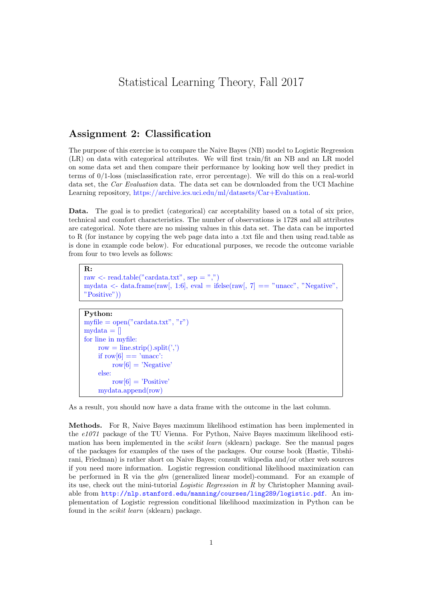# Statistical Learning Theory, Fall 2017

## Assignment 2: Classification

The purpose of this exercise is to compare the Naive Bayes (NB) model to Logistic Regression (LR) on data with categorical attributes. We will first train/fit an NB and an LR model on some data set and then compare their performance by looking how well they predict in terms of 0/1-loss (misclassification rate, error percentage). We will do this on a real-world data set, the Car Evaluation data. The data set can be downloaded from the UCI Machine Learning repository, [https://archive.ics.uci.edu/ml/datasets/Car+Evaluation.](https://archive.ics.uci.edu/ml/datasets/Car+Evaluation)

Data. The goal is to predict (categorical) car acceptability based on a total of six price, technical and comfort characteristics. The number of observations is 1728 and all attributes are categorical. Note there are no missing values in this data set. The data can be imported to R (for instance by copying the web page data into a .txt file and then using read.table as is done in example code below). For educational purposes, we recode the outcome variable from four to two levels as follows:

R: raw  $\langle$ - read.table("cardata.txt", sep = ",") mydata  $\lt$ - data.frame(raw[, 1:6], eval = ifelse(raw[, 7] == "unacc", "Negative", "Positive"))

#### Python:

```
myfile = open("cardata.txt", "r")mydata = []for line in myfile:
row = line.strip().split(',')if row[6] == 'unacc':row[6] = 'Negative'else:
     row[6] = 'Positive'mydata.append(row)
```
As a result, you should now have a data frame with the outcome in the last column.

Methods. For R, Naive Bayes maximum likelihood estimation has been implemented in the e1071 package of the TU Vienna. For Python, Naive Bayes maximum likelihood estimation has been implemented in the *scikit learn* (sklearn) package. See the manual pages of the packages for examples of the uses of the packages. Our course book (Hastie, Tibshirani, Friedman) is rather short on Naive Bayes; consult wikipedia and/or other web sources if you need more information. Logistic regression conditional likelihood maximization can be performed in R via the  $\lim_{n \to \infty}$  (generalized linear model)-command. For an example of its use, check out the mini-tutorial Logistic Regression in R by Christopher Manning available from <http://nlp.stanford.edu/manning/courses/ling289/logistic.pdf>. An implementation of Logistic regression conditional likelihood maximization in Python can be found in the scikit learn (sklearn) package.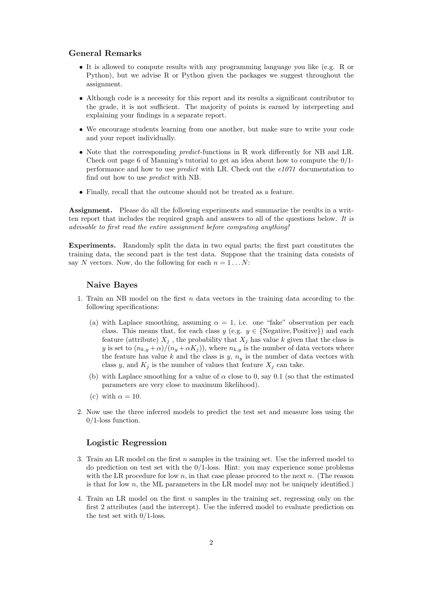### General Remarks

- It is allowed to compute results with any programming language you like (e.g. R or Python), but we advise R or Python given the packages we suggest throughout the assignment.
- Although code is a necessity for this report and its results a significant contributor to the grade, it is not sufficient. The majority of points is earned by interpreting and explaining your findings in a separate report.
- We encourage students learning from one another, but make sure to write your code and your report individually.
- Note that the corresponding predict-functions in R work differently for NB and LR. Check out page 6 of Manning's tutorial to get an idea about how to compute the  $0/1$ performance and how to use *predict* with LR. Check out the  $e1071$  documentation to find out how to use predict with NB.
- Finally, recall that the outcome should not be treated as a feature.

Assignment. Please do all the following experiments and summarize the results in a written report that includes the required graph and answers to all of the questions below. It is advisable to first read the entire assignment before computing anything!

Experiments. Randomly split the data in two equal parts; the first part constitutes the training data, the second part is the test data. Suppose that the training data consists of say N vectors. Now, do the following for each  $n = 1 \dots N$ :

#### Naive Bayes

- 1. Train an NB model on the first  $n$  data vectors in the training data according to the following specifications:
	- (a) with Laplace smoothing, assuming  $\alpha = 1$ , i.e. one "fake" observation per each class. This means that, for each class  $y$  (e.g.  $y \in \{Negative, Positive\}$ ) and each feature (attribute)  $X_j$ , the probability that  $X_j$  has value k given that the class is y is set to  $(n_{k,y} + \alpha)/(n_y + \alpha K_j)$ , where  $n_{k,y}$  is the number of data vectors where the feature has value k and the class is  $y, n_y$  is the number of data vectors with class y, and  $K_j$  is the number of values that feature  $X_j$  can take.
	- (b) with Laplace smoothing for a value of  $\alpha$  close to 0, say 0.1 (so that the estimated parameters are very close to maximum likelihood).
	- (c) with  $\alpha = 10$ .
- 2. Now use the three inferred models to predict the test set and measure loss using the 0/1-loss function.

#### Logistic Regression

- 3. Train an LR model on the first n samples in the training set. Use the inferred model to do prediction on test set with the  $0/1$ -loss. Hint: you may experience some problems with the LR procedure for low n, in that case please proceed to the next n. (The reason is that for low  $n$ , the ML parameters in the LR model may not be uniquely identified.)
- 4. Train an LR model on the first n samples in the training set, regressing only on the first 2 attributes (and the intercept). Use the inferred model to evaluate prediction on the test set with  $0/1$ -loss.